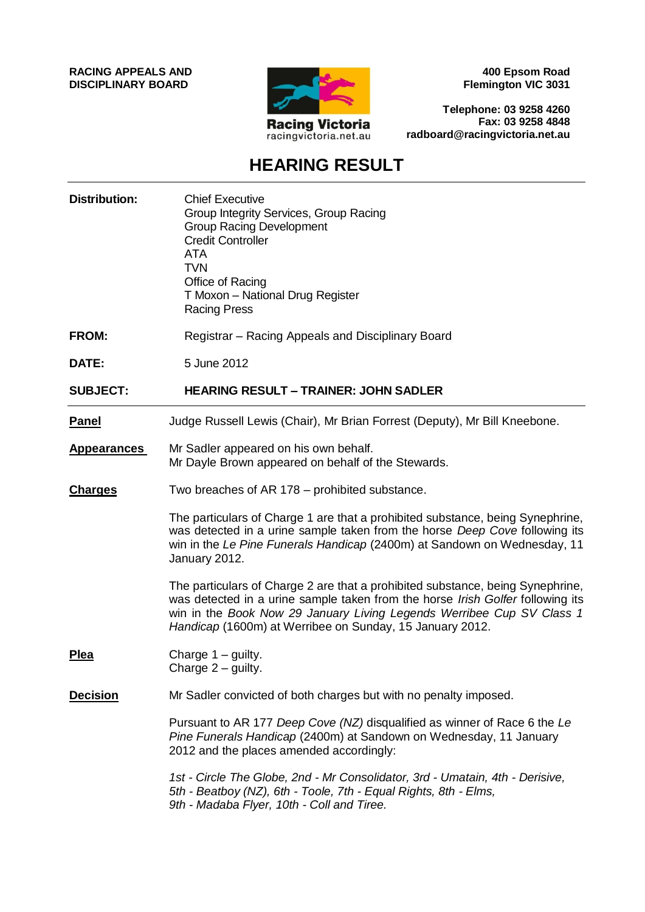**RACING APPEALS AND DISCIPLINARY BOARD**



**400 Epsom Road Flemington VIC 3031**

**Telephone: 03 9258 4260 Fax: 03 9258 4848 radboard@racingvictoria.net.au**

## **HEARING RESULT**

| <b>Distribution:</b> | <b>Chief Executive</b><br>Group Integrity Services, Group Racing<br><b>Group Racing Development</b><br><b>Credit Controller</b><br><b>ATA</b><br><b>TVN</b><br>Office of Racing<br>T Moxon - National Drug Register<br><b>Racing Press</b>                                                            |
|----------------------|-------------------------------------------------------------------------------------------------------------------------------------------------------------------------------------------------------------------------------------------------------------------------------------------------------|
| <b>FROM:</b>         | Registrar – Racing Appeals and Disciplinary Board                                                                                                                                                                                                                                                     |
| DATE:                | 5 June 2012                                                                                                                                                                                                                                                                                           |
| <b>SUBJECT:</b>      | <b>HEARING RESULT - TRAINER: JOHN SADLER</b>                                                                                                                                                                                                                                                          |
| <b>Panel</b>         | Judge Russell Lewis (Chair), Mr Brian Forrest (Deputy), Mr Bill Kneebone.                                                                                                                                                                                                                             |
| <b>Appearances</b>   | Mr Sadler appeared on his own behalf.<br>Mr Dayle Brown appeared on behalf of the Stewards.                                                                                                                                                                                                           |
| <b>Charges</b>       | Two breaches of AR 178 – prohibited substance.                                                                                                                                                                                                                                                        |
|                      | The particulars of Charge 1 are that a prohibited substance, being Synephrine,<br>was detected in a urine sample taken from the horse Deep Cove following its<br>win in the Le Pine Funerals Handicap (2400m) at Sandown on Wednesday, 11<br>January 2012.                                            |
|                      | The particulars of Charge 2 are that a prohibited substance, being Synephrine,<br>was detected in a urine sample taken from the horse Irish Golfer following its<br>win in the Book Now 29 January Living Legends Werribee Cup SV Class 1<br>Handicap (1600m) at Werribee on Sunday, 15 January 2012. |
| <b>Plea</b>          | Charge 1 - guilty.<br>Charge $2$ – guilty.                                                                                                                                                                                                                                                            |
| <b>Decision</b>      | Mr Sadler convicted of both charges but with no penalty imposed.                                                                                                                                                                                                                                      |
|                      | Pursuant to AR 177 Deep Cove (NZ) disqualified as winner of Race 6 the Le<br>Pine Funerals Handicap (2400m) at Sandown on Wednesday, 11 January<br>2012 and the places amended accordingly:                                                                                                           |
|                      | 1st - Circle The Globe, 2nd - Mr Consolidator, 3rd - Umatain, 4th - Derisive,<br>5th - Beatboy (NZ), 6th - Toole, 7th - Equal Rights, 8th - Elms,<br>9th - Madaba Flyer, 10th - Coll and Tiree.                                                                                                       |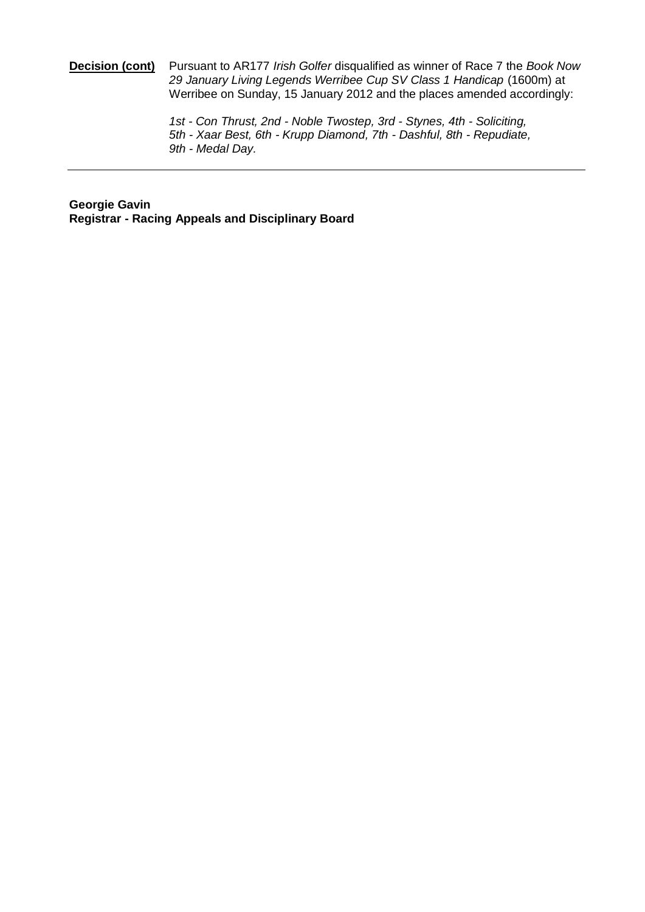#### **Decision (cont)** Pursuant to AR177 *Irish Golfer* disqualified as winner of Race 7 the *Book Now*  29 January Living Legends Werribee Cup SV Class 1 Handicap (1600m) at Werribee on Sunday, 15 January 2012 and the places amended accordingly:

*1st - Con Thrust, 2nd - Noble Twostep, 3rd - Stynes, 4th - Soliciting, 5th - Xaar Best, 6th - Krupp Diamond, 7th - Dashful, 8th - Repudiate, 9th - Medal Day.*

**Georgie Gavin Registrar - Racing Appeals and Disciplinary Board**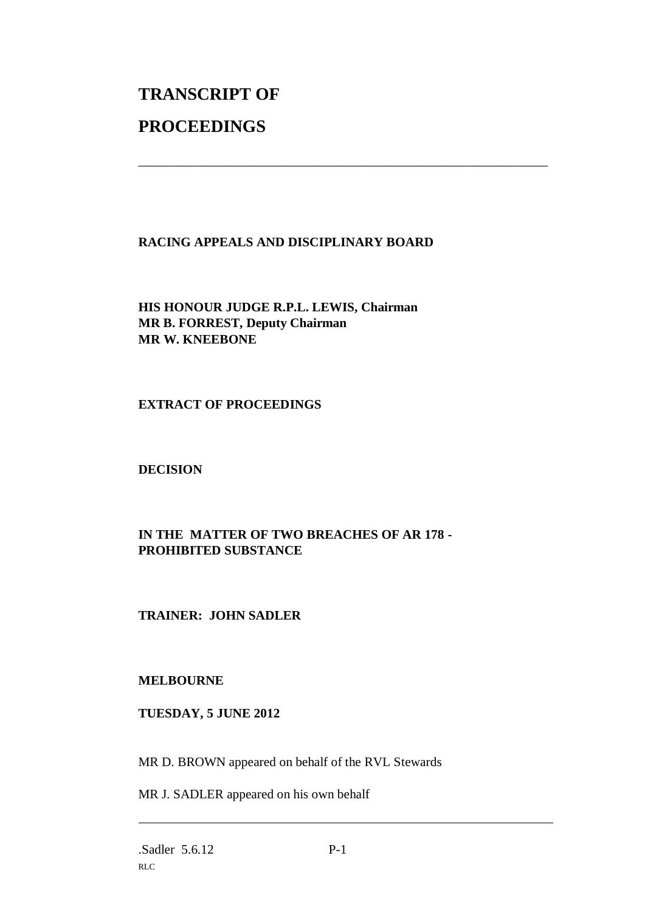# **TRANSCRIPT OF PROCEEDINGS**

#### **RACING APPEALS AND DISCIPLINARY BOARD**

\_\_\_\_\_\_\_\_\_\_\_\_\_\_\_\_\_\_\_\_\_\_\_\_\_\_\_\_\_\_\_\_\_\_\_\_\_\_\_\_\_\_\_\_\_\_\_\_\_\_\_\_\_\_\_\_\_\_\_\_\_\_\_

**HIS HONOUR JUDGE R.P.L. LEWIS, Chairman MR B. FORREST, Deputy Chairman MR W. KNEEBONE**

#### **EXTRACT OF PROCEEDINGS**

**DECISION**

### **IN THE MATTER OF TWO BREACHES OF AR 178 - PROHIBITED SUBSTANCE**

### **TRAINER: JOHN SADLER**

#### **MELBOURNE**

#### **TUESDAY, 5 JUNE 2012**

MR D. BROWN appeared on behalf of the RVL Stewards

MR J. SADLER appeared on his own behalf